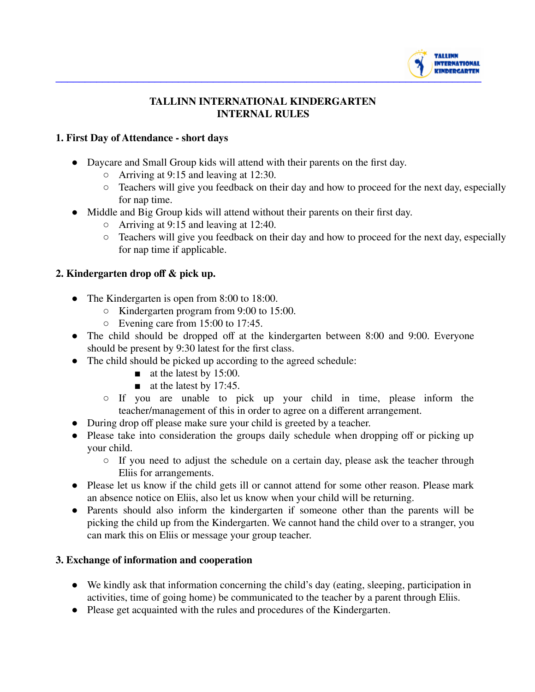

### **TALLINN INTERNATIONAL KINDERGARTEN INTERNAL RULES**

### **1. First Day of Attendance - short days**

- Daycare and Small Group kids will attend with their parents on the first day.
	- Arriving at 9:15 and leaving at 12:30.
	- Teachers will give you feedback on their day and how to proceed for the next day, especially for nap time.
- Middle and Big Group kids will attend without their parents on their first day.
	- Arriving at 9:15 and leaving at 12:40.
	- Teachers will give you feedback on their day and how to proceed for the next day, especially for nap time if applicable.

#### **2. Kindergarten drop off & pick up.**

- The Kindergarten is open from 8:00 to 18:00.
	- Kindergarten program from 9:00 to 15:00.
	- $\circ$  Evening care from 15:00 to 17:45.
- The child should be dropped off at the kindergarten between 8:00 and 9:00. Everyone should be present by 9:30 latest for the first class.
- The child should be picked up according to the agreed schedule:
	- $\blacksquare$  at the latest by 15:00.
	- $\blacksquare$  at the latest by 17:45.
	- If you are unable to pick up your child in time, please inform the teacher/management of this in order to agree on a different arrangement.
- During drop off please make sure your child is greeted by a teacher.
- Please take into consideration the groups daily schedule when dropping off or picking up your child.
	- If you need to adjust the schedule on a certain day, please ask the teacher through Eliis for arrangements.
- Please let us know if the child gets ill or cannot attend for some other reason. Please mark an absence notice on Eliis, also let us know when your child will be returning.
- Parents should also inform the kindergarten if someone other than the parents will be picking the child up from the Kindergarten. We cannot hand the child over to a stranger, you can mark this on Eliis or message your group teacher.

#### **3. Exchange of information and cooperation**

- We kindly ask that information concerning the child's day (eating, sleeping, participation in activities, time of going home) be communicated to the teacher by a parent through Eliis.
- Please get acquainted with the rules and procedures of the Kindergarten.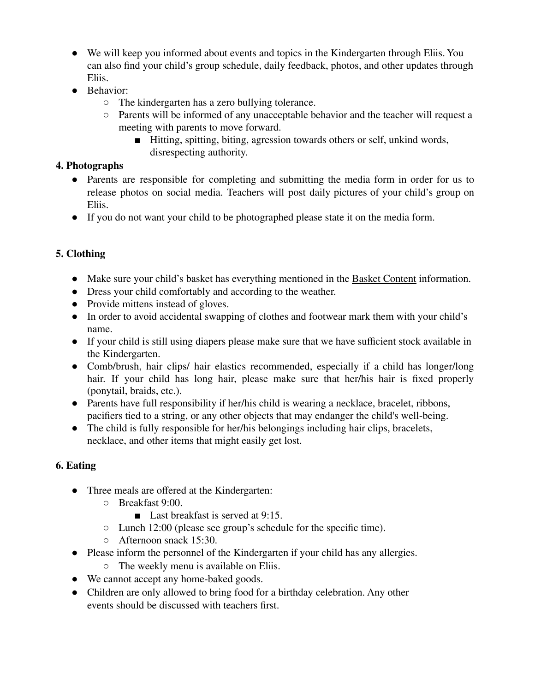- We will keep you informed about events and topics in the Kindergarten through Eliis. You can also find your child's group schedule, daily feedback, photos, and other updates through Eliis.
- Behavior:
	- The kindergarten has a zero bullying tolerance.
	- Parents will be informed of any unacceptable behavior and the teacher will request a meeting with parents to move forward.
		- Hitting, spitting, biting, agression towards others or self, unkind words, disrespecting authority.

## **4. Photographs**

- Parents are responsible for completing and submitting the media form in order for us to release photos on social media. Teachers will post daily pictures of your child's group on Eliis.
- If you do not want your child to be photographed please state it on the media form.

# **5. Clothing**

- Make sure your child's basket has everything mentioned in the Basket Content information.
- Dress your child comfortably and according to the weather.
- Provide mittens instead of gloves.
- In order to avoid accidental swapping of clothes and footwear mark them with your child's name.
- If your child is still using diapers please make sure that we have sufficient stock available in the Kindergarten.
- Comb/brush, hair clips/ hair elastics recommended, especially if a child has longer/long hair. If your child has long hair, please make sure that her/his hair is fixed properly (ponytail, braids, etc.).
- Parents have full responsibility if her/his child is wearing a necklace, bracelet, ribbons, pacifiers tied to a string, or any other objects that may endanger the child's well-being.
- The child is fully responsible for her/his belongings including hair clips, bracelets, necklace, and other items that might easily get lost.

# **6. Eating**

- Three meals are offered at the Kindergarten:
	- Breakfast 9:00.
		- Last breakfast is served at 9:15.
	- Lunch 12:00 (please see group's schedule for the specific time).
	- Afternoon snack 15:30.
- Please inform the personnel of the Kindergarten if your child has any allergies.
	- The weekly menu is available on Eliis.
- We cannot accept any home-baked goods.
- Children are only allowed to bring food for a birthday celebration. Any other events should be discussed with teachers first.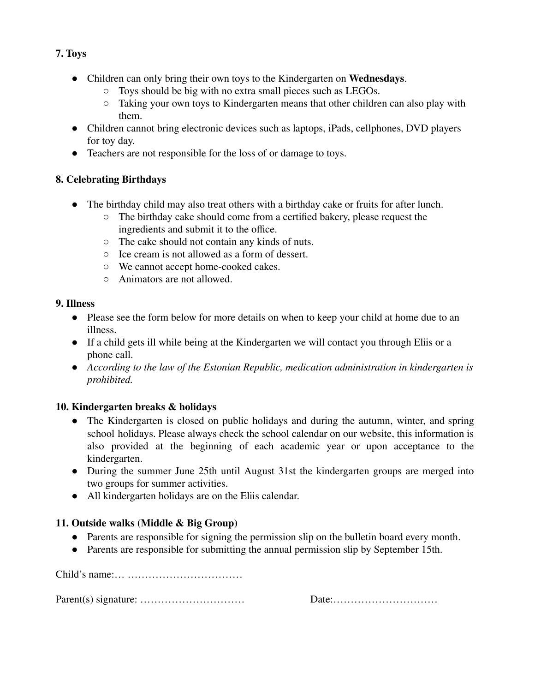## **7. Toys**

- Children can only bring their own toys to the Kindergarten on **Wednesdays**.
	- Toys should be big with no extra small pieces such as LEGOs.
	- Taking your own toys to Kindergarten means that other children can also play with them.
- Children cannot bring electronic devices such as laptops, iPads, cellphones, DVD players for toy day.
- Teachers are not responsible for the loss of or damage to toys.

## **8. Celebrating Birthdays**

- The birthday child may also treat others with a birthday cake or fruits for after lunch.
	- The birthday cake should come from a certified bakery, please request the ingredients and submit it to the office.
	- The cake should not contain any kinds of nuts.
	- Ice cream is not allowed as a form of dessert.
	- We cannot accept home-cooked cakes.
	- Animators are not allowed.

### **9. Illness**

- Please see the form below for more details on when to keep your child at home due to an illness.
- If a child gets ill while being at the Kindergarten we will contact you through Eliis or a phone call.
- *According to the law of the Estonian Republic, medication administration in kindergarten is prohibited.*

## **10. Kindergarten breaks & holidays**

- The Kindergarten is closed on public holidays and during the autumn, winter, and spring school holidays. Please always check the school calendar on our website, this information is also provided at the beginning of each academic year or upon acceptance to the kindergarten.
- During the summer June 25th until August 31st the kindergarten groups are merged into two groups for summer activities.
- All kindergarten holidays are on the Eliis calendar.

## **11. Outside walks (Middle & Big Group)**

- Parents are responsible for signing the permission slip on the bulletin board every month.
- Parents are responsible for submitting the annual permission slip by September 15th.

Child's name:… ……………………………

Parent(s) signature: ………………………… Date:…………………………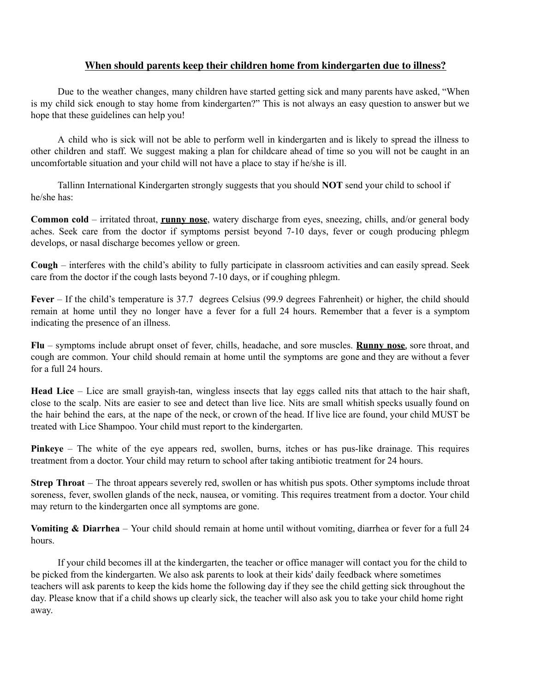#### **When should parents keep their children home from kindergarten due to illness?**

Due to the weather changes, many children have started getting sick and many parents have asked, "When is my child sick enough to stay home from kindergarten?" This is not always an easy question to answer but we hope that these guidelines can help you!

A child who is sick will not be able to perform well in kindergarten and is likely to spread the illness to other children and staff. We suggest making a plan for childcare ahead of time so you will not be caught in an uncomfortable situation and your child will not have a place to stay if he/she is ill.

Tallinn International Kindergarten strongly suggests that you should **NOT** send your child to school if he/she has:

**Common cold** – irritated throat, **runny nose**, watery discharge from eyes, sneezing, chills, and/or general body aches. Seek care from the doctor if symptoms persist beyond 7-10 days, fever or cough producing phlegm develops, or nasal discharge becomes yellow or green.

**Cough** – interferes with the child's ability to fully participate in classroom activities and can easily spread. Seek care from the doctor if the cough lasts beyond 7-10 days, or if coughing phlegm.

**Fever** – If the child's temperature is 37.7 degrees Celsius (99.9 degrees Fahrenheit) or higher, the child should remain at home until they no longer have a fever for a full 24 hours. Remember that a fever is a symptom indicating the presence of an illness.

**Flu** – symptoms include abrupt onset of fever, chills, headache, and sore muscles. **Runny nose**, sore throat, and cough are common. Your child should remain at home until the symptoms are gone and they are without a fever for a full 24 hours.

**Head Lice** – Lice are small grayish-tan, wingless insects that lay eggs called nits that attach to the hair shaft, close to the scalp. Nits are easier to see and detect than live lice. Nits are small whitish specks usually found on the hair behind the ears, at the nape of the neck, or crown of the head. If live lice are found, your child MUST be treated with Lice Shampoo. Your child must report to the kindergarten.

**Pinkeye** – The white of the eye appears red, swollen, burns, itches or has pus-like drainage. This requires treatment from a doctor. Your child may return to school after taking antibiotic treatment for 24 hours.

**Strep Throat** – The throat appears severely red, swollen or has whitish pus spots. Other symptoms include throat soreness, fever, swollen glands of the neck, nausea, or vomiting. This requires treatment from a doctor. Your child may return to the kindergarten once all symptoms are gone.

**Vomiting & Diarrhea** – Your child should remain at home until without vomiting, diarrhea or fever for a full 24 hours.

If your child becomes ill at the kindergarten, the teacher or office manager will contact you for the child to be picked from the kindergarten. We also ask parents to look at their kids' daily feedback where sometimes teachers will ask parents to keep the kids home the following day if they see the child getting sick throughout the day. Please know that if a child shows up clearly sick, the teacher will also ask you to take your child home right away.